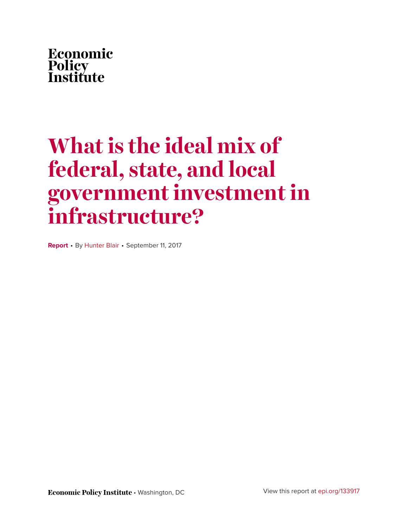

# **What is the ideal mix of federal, state, and local government investment in infrastructure?**

**Report** • By [Hunter Blair](http://www.epi.org/people/hunter-blair/) • September 11, 2017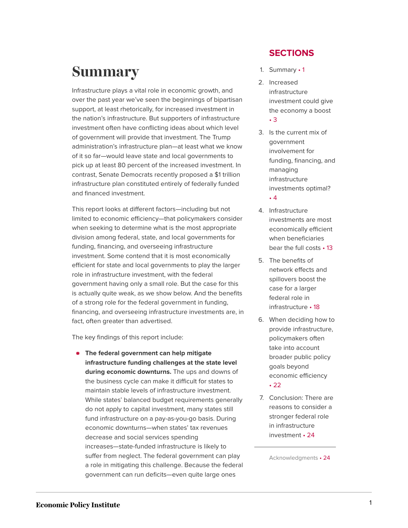## <span id="page-1-0"></span>**Summary**

Infrastructure plays a vital role in economic growth, and over the past year we've seen the beginnings of bipartisan support, at least rhetorically, for increased investment in the nation's infrastructure. But supporters of infrastructure investment often have conflicting ideas about which level of government will provide that investment. The Trump administration's infrastructure plan—at least what we know of it so far—would leave state and local governments to pick up at least 80 percent of the increased investment. In contrast, Senate Democrats recently proposed a \$1 trillion infrastructure plan constituted entirely of federally funded and financed investment.

This report looks at different factors—including but not limited to economic efficiency—that policymakers consider when seeking to determine what is the most appropriate division among federal, state, and local governments for funding, financing, and overseeing infrastructure investment. Some contend that it is most economically efficient for state and local governments to play the larger role in infrastructure investment, with the federal government having only a small role. But the case for this is actually quite weak, as we show below. And the benefits of a strong role for the federal government in funding, financing, and overseeing infrastructure investments are, in fact, often greater than advertised.

The key findings of this report include:

**The federal government can help mitigate infrastructure funding challenges at the state level during economic downturns.** The ups and downs of the business cycle can make it difficult for states to maintain stable levels of infrastructure investment. While states' balanced budget requirements generally do not apply to capital investment, many states still fund infrastructure on a pay-as-you-go basis. During economic downturns—when states' tax revenues decrease and social services spending increases—state-funded infrastructure is likely to suffer from neglect. The federal government can play a role in mitigating this challenge. Because the federal government can run deficits—even quite large ones

#### **SECTIONS**

- 1. [Summary](#page-1-0) 1
- 2. [Increased](#page-3-0) [infrastructure](#page-3-0) [investment could give](#page-3-0) [the economy a](#page-3-0) boost • [3](#page-3-0)
- 3. [Is the current mix of](#page-4-0) [government](#page-4-0) [involvement for](#page-4-0) [funding, financing, and](#page-4-0) [managing](#page-4-0) [infrastructure](#page-4-0) [investments](#page-4-0) optimal? • [4](#page-4-0)
- 4. [Infrastructure](#page-13-0) [investments are most](#page-13-0) [economically efficient](#page-13-0) [when beneficiaries](#page-13-0) [bear the full](#page-13-0) costs • 13
- 5. [The benefits of](#page-18-0) [network effects and](#page-18-0) [spillovers boost the](#page-18-0) [case for a larger](#page-18-0) [federal role in](#page-18-0) [infrastructure](#page-18-0) • 18
- 6. [When deciding how to](#page-22-0) [provide infrastructure,](#page-22-0) [policymakers often](#page-22-0) [take into account](#page-22-0) [broader public policy](#page-22-0) [goals beyond](#page-22-0) [economic](#page-22-0) efficiency • [22](#page-22-0)
- 7. [Conclusion: There are](#page-24-0) [reasons to consider a](#page-24-0) [stronger federal role](#page-24-0) [in infrastructure](#page-24-0) [investment](#page-24-0) • 24

[Acknowledgments](#page-24-1) • 24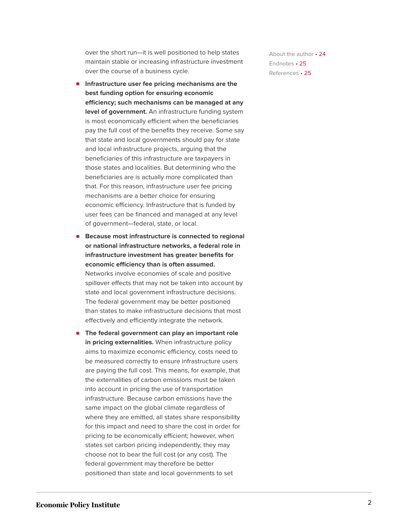over the short run—it is well positioned to help states maintain stable or increasing infrastructure investment over the course of a business cycle.

- **Infrastructure user fee pricing mechanisms are the best funding option for ensuring economic efficiency; such mechanisms can be managed at any level of government.** An infrastructure funding system is most economically efficient when the beneficiaries pay the full cost of the benefits they receive. Some say that state and local governments should pay for state and local infrastructure projects, arguing that the beneficiaries of this infrastructure are taxpayers in those states and localities. But determining who the beneficiaries are is actually more complicated than that. For this reason, infrastructure user fee pricing mechanisms are a better choice for ensuring economic efficiency. Infrastructure that is funded by user fees can be financed and managed at any level of government—federal, state, or local.
- **Because most infrastructure is connected to regional or national infrastructure networks, a federal role in infrastructure investment has greater benefits for economic efficiency than is often assumed.** Networks involve economies of scale and positive spillover effects that may not be taken into account by state and local government infrastructure decisions. The federal government may be better positioned than states to make infrastructure decisions that most effectively and efficiently integrate the network.
- **The federal government can play an important role in pricing externalities.** When infrastructure policy aims to maximize economic efficiency, costs need to be measured correctly to ensure infrastructure users are paying the full cost. This means, for example, that the externalities of carbon emissions must be taken into account in pricing the use of transportation infrastructure. Because carbon emissions have the same impact on the global climate regardless of where they are emitted, all states share responsibility for this impact and need to share the cost in order for pricing to be economically efficient; however, when states set carbon pricing independently, they may choose not to bear the full cost (or any cost). The federal government may therefore be better positioned than state and local governments to set

[About the](#page-24-2) author • 24 [Endnotes](#page-25-0) • 25 [References](#page-25-1) • 25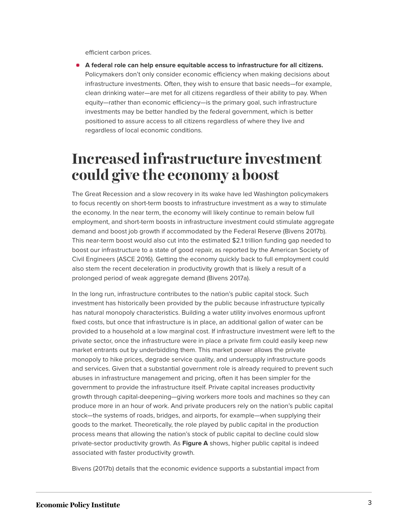efficient carbon prices.

**A federal role can help ensure equitable access to infrastructure for all citizens.** Policymakers don't only consider economic efficiency when making decisions about infrastructure investments. Often, they wish to ensure that basic needs—for example, clean drinking water—are met for all citizens regardless of their ability to pay. When equity—rather than economic efficiency—is the primary goal, such infrastructure investments may be better handled by the federal government, which is better positioned to assure access to all citizens regardless of where they live and regardless of local economic conditions.

## <span id="page-3-0"></span>**Increased infrastructure investment could give the economy a boost**

The Great Recession and a slow recovery in its wake have led Washington policymakers to focus recently on short-term boosts to infrastructure investment as a way to stimulate the economy. In the near term, the economy will likely continue to remain below full employment, and short-term boosts in infrastructure investment could stimulate aggregate demand and boost job growth if accommodated by the Federal Reserve (Bivens 2017b). This near-term boost would also cut into the estimated \$2.1 trillion funding gap needed to boost our infrastructure to a state of good repair, as reported by the American Society of Civil Engineers (ASCE 2016). Getting the economy quickly back to full employment could also stem the recent deceleration in productivity growth that is likely a result of a prolonged period of weak aggregate demand (Bivens 2017a).

In the long run, infrastructure contributes to the nation's public capital stock. Such investment has historically been provided by the public because infrastructure typically has natural monopoly characteristics. Building a water utility involves enormous upfront fixed costs, but once that infrastructure is in place, an additional gallon of water can be provided to a household at a low marginal cost. If infrastructure investment were left to the private sector, once the infrastructure were in place a private firm could easily keep new market entrants out by underbidding them. This market power allows the private monopoly to hike prices, degrade service quality, and undersupply infrastructure goods and services. Given that a substantial government role is already required to prevent such abuses in infrastructure management and pricing, often it has been simpler for the government to provide the infrastructure itself. Private capital increases productivity growth through capital-deepening—giving workers more tools and machines so they can produce more in an hour of work. And private producers rely on the nation's public capital stock—the systems of roads, bridges, and airports, for example—when supplying their goods to the market. Theoretically, the role played by public capital in the production process means that allowing the nation's stock of public capital to decline could slow private-sector productivity growth. As **Figure A** shows, higher public capital is indeed associated with faster productivity growth.

Bivens (2017b) details that the economic evidence supports a substantial impact from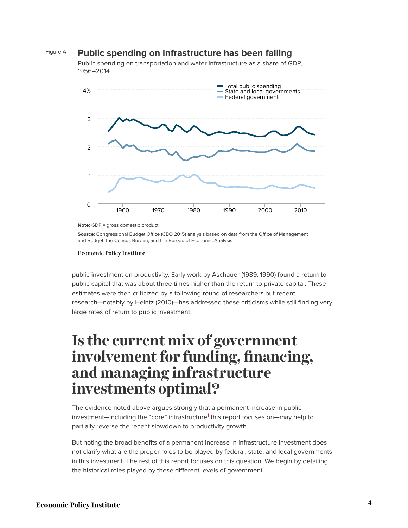#### Figure A **Public spending on infrastructure has been falling**

Public spending on transportation and water infrastructure as a share of GDP, 1956–2014



**Note:** GDP = gross domestic product.

**Source:** Congressional Budget Office (CBO 2015) analysis based on data from the Office of Management and Budget, the Census Bureau, and the Bureau of Economic Analysis

**Economic Policy Institute** 

public investment on productivity. Early work by Aschauer (1989, 1990) found a return to public capital that was about three times higher than the return to private capital. These estimates were then criticized by a following round of researchers but recent research—notably by Heintz (2010)—has addressed these criticisms while still finding very large rates of return to public investment.

## <span id="page-4-0"></span>**Is the current mix of government involvement for funding, financing, and managing infrastructure investments optimal?**

<span id="page-4-1"></span>The evidence noted above argues strongly that a permanent increase in public investment—including the "core" infrastructure<sup>[1](#page-25-2)</sup> this report focuses on—may help to partially reverse the recent slowdown to productivity growth.

But noting the broad benefits of a permanent increase in infrastructure investment does not clarify what are the proper roles to be played by federal, state, and local governments in this investment. The rest of this report focuses on this question. We begin by detailing the historical roles played by these different levels of government.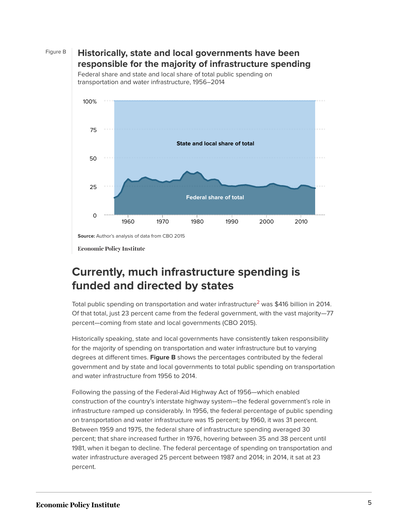

#### Figure B **Historically, state and local governments have been responsible for the majority of infrastructure spending**



Federal share and state and local share of total public spending on transportation and water infrastructure, 1956–2014

**Economic Policy Institute** 

### **Currently, much infrastructure spending is funded and directed by states**

<span id="page-5-0"></span>Total public spending on transportation and water infrastructure<sup>[2](#page-25-3)</sup> was \$416 billion in 2014. Of that total, just 23 percent came from the federal government, with the vast majority—77 percent—coming from state and local governments (CBO 2015).

Historically speaking, state and local governments have consistently taken responsibility for the majority of spending on transportation and water infrastructure but to varying degrees at different times. **Figure B** shows the percentages contributed by the federal government and by state and local governments to total public spending on transportation and water infrastructure from 1956 to 2014.

Following the passing of the Federal-Aid Highway Act of 1956—which enabled construction of the country's interstate highway system—the federal government's role in infrastructure ramped up considerably. In 1956, the federal percentage of public spending on transportation and water infrastructure was 15 percent; by 1960, it was 31 percent. Between 1959 and 1975, the federal share of infrastructure spending averaged 30 percent; that share increased further in 1976, hovering between 35 and 38 percent until 1981, when it began to decline. The federal percentage of spending on transportation and water infrastructure averaged 25 percent between 1987 and 2014; in 2014, it sat at 23 percent.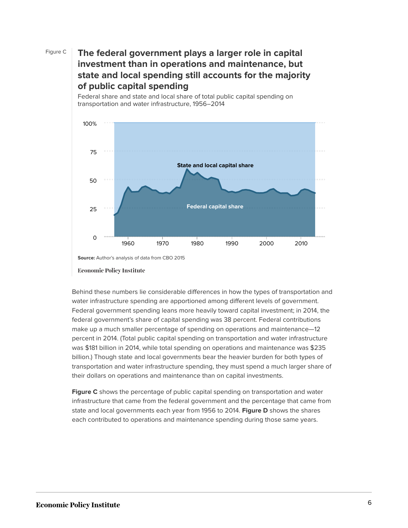#### Figure C **The federal government plays a larger role in capital investment than in operations and maintenance, but state and local spending still accounts for the majority of public capital spending**



Federal share and state and local share of total public capital spending on transportation and water infrastructure, 1956–2014

Behind these numbers lie considerable differences in how the types of transportation and water infrastructure spending are apportioned among different levels of government. Federal government spending leans more heavily toward capital investment; in 2014, the federal government's share of capital spending was 38 percent. Federal contributions make up a much smaller percentage of spending on operations and maintenance—12 percent in 2014. (Total public capital spending on transportation and water infrastructure was \$181 billion in 2014, while total spending on operations and maintenance was \$235 billion.) Though state and local governments bear the heavier burden for both types of transportation and water infrastructure spending, they must spend a much larger share of their dollars on operations and maintenance than on capital investments.

**Figure C** shows the percentage of public capital spending on transportation and water infrastructure that came from the federal government and the percentage that came from state and local governments each year from 1956 to 2014. **Figure D** shows the shares each contributed to operations and maintenance spending during those same years.

**Source:** Author's analysis of data from CBO 2015

**Economic Policy Institute**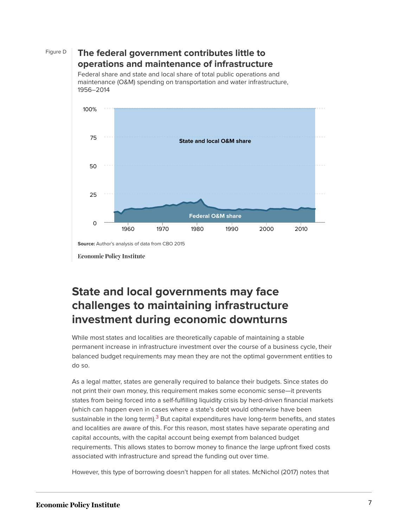

#### Figure D **The federal government contributes little to operations and maintenance of infrastructure**

Federal share and state and local share of total public operations and maintenance (O&M) spending on transportation and water infrastructure, 1956–2014



**Economic Policy Institute** 

### **State and local governments may face challenges to maintaining infrastructure investment during economic downturns**

While most states and localities are theoretically capable of maintaining a stable permanent increase in infrastructure investment over the course of a business cycle, their balanced budget requirements may mean they are not the optimal government entities to do so.

<span id="page-7-0"></span>As a legal matter, states are generally required to balance their budgets. Since states do not print their own money, this requirement makes some economic sense—it prevents states from being forced into a self-fulfilling liquidity crisis by herd-driven financial markets (which can happen even in cases where a state's debt would otherwise have been sustainable in the long term).<sup>[3](#page-25-4)</sup> But capital expenditures have long-term benefits, and states and localities are aware of this. For this reason, most states have separate operating and capital accounts, with the capital account being exempt from balanced budget requirements. This allows states to borrow money to finance the large upfront fixed costs associated with infrastructure and spread the funding out over time.

However, this type of borrowing doesn't happen for all states. McNichol (2017) notes that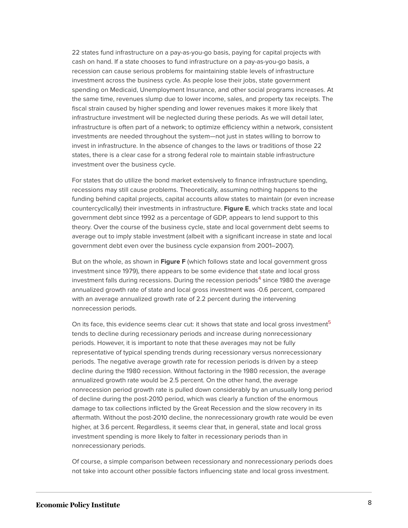22 states fund infrastructure on a pay-as-you-go basis, paying for capital projects with cash on hand. If a state chooses to fund infrastructure on a pay-as-you-go basis, a recession can cause serious problems for maintaining stable levels of infrastructure investment across the business cycle. As people lose their jobs, state government spending on Medicaid, Unemployment Insurance, and other social programs increases. At the same time, revenues slump due to lower income, sales, and property tax receipts. The fiscal strain caused by higher spending and lower revenues makes it more likely that infrastructure investment will be neglected during these periods. As we will detail later, infrastructure is often part of a network; to optimize efficiency within a network, consistent investments are needed throughout the system—not just in states willing to borrow to invest in infrastructure. In the absence of changes to the laws or traditions of those 22 states, there is a clear case for a strong federal role to maintain stable infrastructure investment over the business cycle.

For states that do utilize the bond market extensively to finance infrastructure spending, recessions may still cause problems. Theoretically, assuming nothing happens to the funding behind capital projects, capital accounts allow states to maintain (or even increase countercyclically) their investments in infrastructure. **Figure E**, which tracks state and local government debt since 1992 as a percentage of GDP, appears to lend support to this theory. Over the course of the business cycle, state and local government debt seems to average out to imply stable investment (albeit with a significant increase in state and local government debt even over the business cycle expansion from 2001–2007).

<span id="page-8-0"></span>But on the whole, as shown in **Figure F** (which follows state and local government gross investment since 1979), there appears to be some evidence that state and local gross investment falls during recessions. During the recession periods<sup>[4](#page-25-5)</sup> since 1980 the average annualized growth rate of state and local gross investment was -0.6 percent, compared with an average annualized growth rate of 2.2 percent during the intervening nonrecession periods.

<span id="page-8-1"></span>On its face, this evidence seems clear cut: it shows that state and local gross investment<sup>[5](#page-25-6)</sup> tends to decline during recessionary periods and increase during nonrecessionary periods. However, it is important to note that these averages may not be fully representative of typical spending trends during recessionary versus nonrecessionary periods. The negative average growth rate for recession periods is driven by a steep decline during the 1980 recession. Without factoring in the 1980 recession, the average annualized growth rate would be 2.5 percent. On the other hand, the average nonrecession period growth rate is pulled down considerably by an unusually long period of decline during the post-2010 period, which was clearly a function of the enormous damage to tax collections inflicted by the Great Recession and the slow recovery in its aftermath. Without the post-2010 decline, the nonrecessionary growth rate would be even higher, at 3.6 percent. Regardless, it seems clear that, in general, state and local gross investment spending is more likely to falter in recessionary periods than in nonrecessionary periods.

Of course, a simple comparison between recessionary and nonrecessionary periods does not take into account other possible factors influencing state and local gross investment.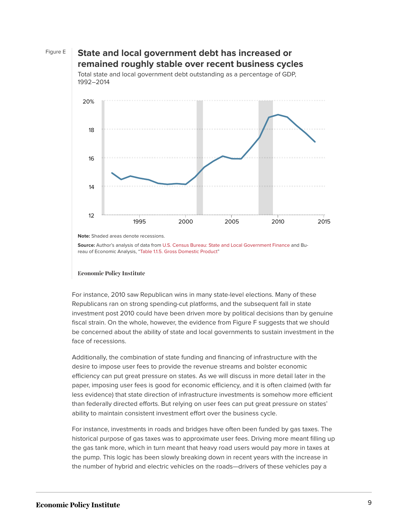#### Figure E **State and local government debt has increased or remained roughly stable over recent business cycles**



Total state and local government debt outstanding as a percentage of GDP,

**Note:** Shaded areas denote recessions.

**Source:** Author's analysis of data from [U.S. Census Bureau: State and Local Government Finance](https://www.census.gov//govs/local/) and Bureau of Economic Analysis, ["Table 1.1.5. Gross Domestic Product](https://www.bea.gov/iTable/iTable.cfm?reqid=9&step=3&isuri=1&903=1#reqid=9&step=3&isuri=1&903=5)"

#### **Economic Policy Institute**

For instance, 2010 saw Republican wins in many state-level elections. Many of these Republicans ran on strong spending-cut platforms, and the subsequent fall in state investment post 2010 could have been driven more by political decisions than by genuine fiscal strain. On the whole, however, the evidence from Figure F suggests that we should be concerned about the ability of state and local governments to sustain investment in the face of recessions.

Additionally, the combination of state funding and financing of infrastructure with the desire to impose user fees to provide the revenue streams and bolster economic efficiency can put great pressure on states. As we will discuss in more detail later in the paper, imposing user fees is good for economic efficiency, and it is often claimed (with far less evidence) that state direction of infrastructure investments is somehow more efficient than federally directed efforts. But relying on user fees can put great pressure on states' ability to maintain consistent investment effort over the business cycle.

For instance, investments in roads and bridges have often been funded by gas taxes. The historical purpose of gas taxes was to approximate user fees. Driving more meant filling up the gas tank more, which in turn meant that heavy road users would pay more in taxes at the pump. This logic has been slowly breaking down in recent years with the increase in the number of hybrid and electric vehicles on the roads—drivers of these vehicles pay a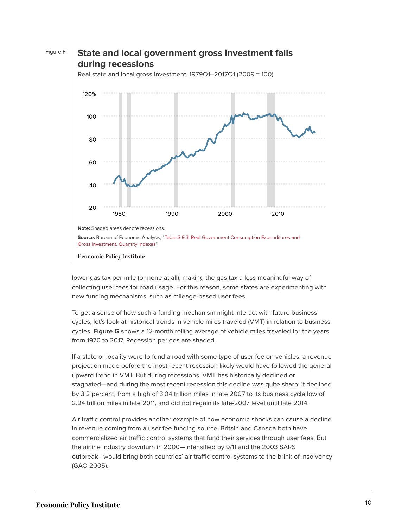

**Source:** Bureau of Economic Analysis, ["Table 3.9.3. Real Government Consumption Expenditures and](https://www.bea.gov/iTable/iTable.cfm?ReqID=9&step=1#reqid=9&step=3&isuri=1&903=96) [Gross Investment, Quantity Indexes"](https://www.bea.gov/iTable/iTable.cfm?ReqID=9&step=1#reqid=9&step=3&isuri=1&903=96)

**Economic Policy Institute** 

lower gas tax per mile (or none at all), making the gas tax a less meaningful way of collecting user fees for road usage. For this reason, some states are experimenting with new funding mechanisms, such as mileage-based user fees.

To get a sense of how such a funding mechanism might interact with future business cycles, let's look at historical trends in vehicle miles traveled (VMT) in relation to business cycles. **Figure G** shows a 12-month rolling average of vehicle miles traveled for the years from 1970 to 2017. Recession periods are shaded.

If a state or locality were to fund a road with some type of user fee on vehicles, a revenue projection made before the most recent recession likely would have followed the general upward trend in VMT. But during recessions, VMT has historically declined or stagnated—and during the most recent recession this decline was quite sharp: it declined by 3.2 percent, from a high of 3.04 trillion miles in late 2007 to its business cycle low of 2.94 trillion miles in late 2011, and did not regain its late-2007 level until late 2014.

Air traffic control provides another example of how economic shocks can cause a decline in revenue coming from a user fee funding source. Britain and Canada both have commercialized air traffic control systems that fund their services through user fees. But the airline industry downturn in 2000—intensified by 9/11 and the 2003 SARS outbreak—would bring both countries' air traffic control systems to the brink of insolvency (GAO 2005).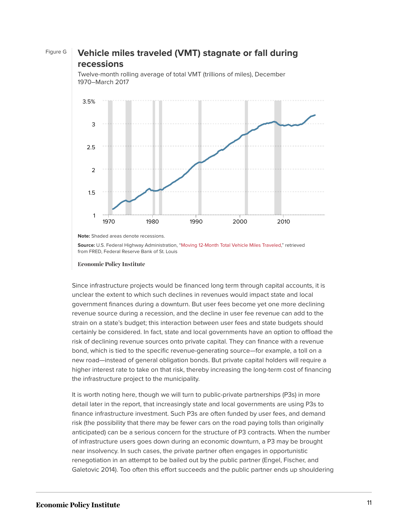#### Figure G **Vehicle miles traveled (VMT) stagnate or fall during recessions**



Twelve-month rolling average of total VMT (trillions of miles), December 1970–March 2017

**Note:** Shaded areas denote recessions.

**Source:** U.S. Federal Highway Administration, "[Moving 12-Month Total Vehicle Miles Traveled,](https://fred.stlouisfed.org/series/M12MTVUSM227NFWA)" retrieved from FRED, Federal Reserve Bank of St. Louis

Since infrastructure projects would be financed long term through capital accounts, it is unclear the extent to which such declines in revenues would impact state and local government finances during a downturn. But user fees become yet one more declining revenue source during a recession, and the decline in user fee revenue can add to the strain on a state's budget; this interaction between user fees and state budgets should certainly be considered. In fact, state and local governments have an option to offload the risk of declining revenue sources onto private capital. They can finance with a revenue bond, which is tied to the specific revenue-generating source—for example, a toll on a new road—instead of general obligation bonds. But private capital holders will require a higher interest rate to take on that risk, thereby increasing the long-term cost of financing the infrastructure project to the municipality.

It is worth noting here, though we will turn to public-private partnerships (P3s) in more detail later in the report, that increasingly state and local governments are using P3s to finance infrastructure investment. Such P3s are often funded by user fees, and demand risk (the possibility that there may be fewer cars on the road paying tolls than originally anticipated) can be a serious concern for the structure of P3 contracts. When the number of infrastructure users goes down during an economic downturn, a P3 may be brought near insolvency. In such cases, the private partner often engages in opportunistic renegotiation in an attempt to be bailed out by the public partner (Engel, Fischer, and Galetovic 2014). Too often this effort succeeds and the public partner ends up shouldering

**Economic Policy Institute**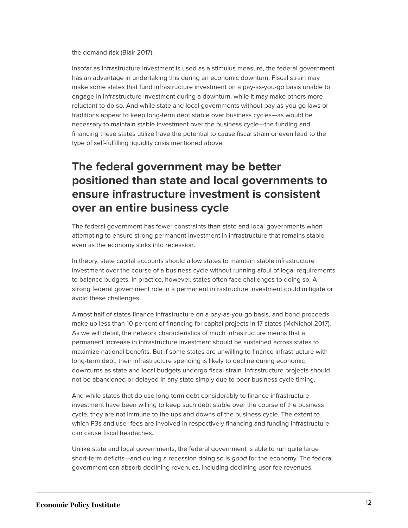the demand risk (Blair 2017).

Insofar as infrastructure investment is used as a stimulus measure, the federal government has an advantage in undertaking this during an economic downturn. Fiscal strain may make some states that fund infrastructure investment on a pay-as-you-go basis unable to engage in infrastructure investment during a downturn, while it may make others more reluctant to do so. And while state and local governments without pay-as-you-go laws or traditions appear to keep long-term debt stable over business cycles—as would be necessary to maintain stable investment over the business cycle—the funding and financing these states utilize have the potential to cause fiscal strain or even lead to the type of self-fulfilling liquidity crisis mentioned above.

### **The federal government may be better positioned than state and local governments to ensure infrastructure investment is consistent over an entire business cycle**

The federal government has fewer constraints than state and local governments when attempting to ensure strong permanent investment in infrastructure that remains stable even as the economy sinks into recession.

In theory, state capital accounts should allow states to maintain stable infrastructure investment over the course of a business cycle without running afoul of legal requirements to balance budgets. In practice, however, states often face challenges to doing so. A strong federal government role in a permanent infrastructure investment could mitigate or avoid these challenges.

Almost half of states finance infrastructure on a pay-as-you-go basis, and bond proceeds make up less than 10 percent of financing for capital projects in 17 states (McNichol 2017). As we will detail, the network characteristics of much infrastructure means that a permanent increase in infrastructure investment should be sustained across states to maximize national benefits. But if some states are unwilling to finance infrastructure with long-term debt, their infrastructure spending is likely to decline during economic downturns as state and local budgets undergo fiscal strain. Infrastructure projects should not be abandoned or delayed in any state simply due to poor business cycle timing.

And while states that do use long-term debt considerably to finance infrastructure investment have been willing to keep such debt stable over the course of the business cycle, they are not immune to the ups and downs of the business cycle. The extent to which P3s and user fees are involved in respectively financing and funding infrastructure can cause fiscal headaches.

Unlike state and local governments, the federal government is able to run quite large short-term deficits—and during a recession doing so is good for the economy. The federal government can absorb declining revenues, including declining user fee revenues,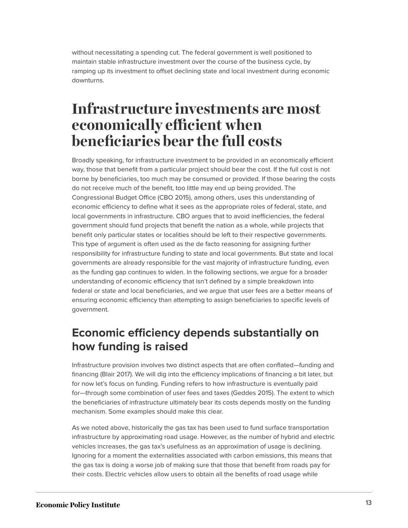without necessitating a spending cut. The federal government is well positioned to maintain stable infrastructure investment over the course of the business cycle, by ramping up its investment to offset declining state and local investment during economic downturns.

## <span id="page-13-0"></span>**Infrastructure investments are most economically efficient when beneficiaries bear the full costs**

Broadly speaking, for infrastructure investment to be provided in an economically efficient way, those that benefit from a particular project should bear the cost. If the full cost is not borne by beneficiaries, too much may be consumed or provided. If those bearing the costs do not receive much of the benefit, too little may end up being provided. The Congressional Budget Office (CBO 2015), among others, uses this understanding of economic efficiency to define what it sees as the appropriate roles of federal, state, and local governments in infrastructure. CBO argues that to avoid inefficiencies, the federal government should fund projects that benefit the nation as a whole, while projects that benefit only particular states or localities should be left to their respective governments. This type of argument is often used as the de facto reasoning for assigning further responsibility for infrastructure funding to state and local governments. But state and local governments are already responsible for the vast majority of infrastructure funding, even as the funding gap continues to widen. In the following sections, we argue for a broader understanding of economic efficiency that isn't defined by a simple breakdown into federal or state and local beneficiaries, and we argue that user fees are a better means of ensuring economic efficiency than attempting to assign beneficiaries to specific levels of government.

### **Economic efficiency depends substantially on how funding is raised**

Infrastructure provision involves two distinct aspects that are often conflated—funding and financing (Blair 2017). We will dig into the efficiency implications of financing a bit later, but for now let's focus on funding. Funding refers to how infrastructure is eventually paid for—through some combination of user fees and taxes (Geddes 2015). The extent to which the beneficiaries of infrastructure ultimately bear its costs depends mostly on the funding mechanism. Some examples should make this clear.

As we noted above, historically the gas tax has been used to fund surface transportation infrastructure by approximating road usage. However, as the number of hybrid and electric vehicles increases, the gas tax's usefulness as an approximation of usage is declining. Ignoring for a moment the externalities associated with carbon emissions, this means that the gas tax is doing a worse job of making sure that those that benefit from roads pay for their costs. Electric vehicles allow users to obtain all the benefits of road usage while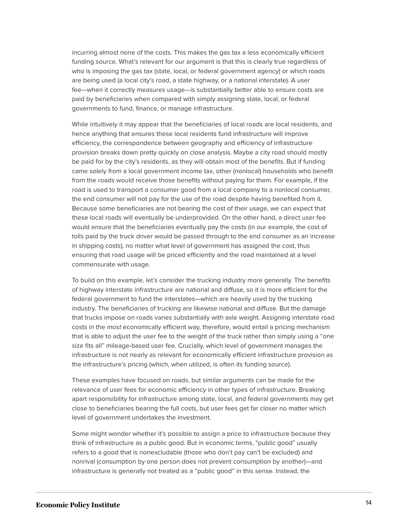incurring almost none of the costs. This makes the gas tax a less economically efficient funding source. What's relevant for our argument is that this is clearly true regardless of who is imposing the gas tax (state, local, or federal government agency) or which roads are being used (a local city's road, a state highway, or a national interstate). A user fee—when it correctly measures usage—is substantially better able to ensure costs are paid by beneficiaries when compared with simply assigning state, local, or federal governments to fund, finance, or manage infrastructure.

While intuitively it may appear that the beneficiaries of local roads are local residents, and hence anything that ensures these local residents fund infrastructure will improve efficiency, the correspondence between geography and efficiency of infrastructure provision breaks down pretty quickly on close analysis. Maybe a city road should mostly be paid for by the city's residents, as they will obtain most of the benefits. But if funding came solely from a local government income tax, other (nonlocal) households who benefit from the roads would receive those benefits without paying for them. For example, if the road is used to transport a consumer good from a local company to a nonlocal consumer, the end consumer will not pay for the use of the road despite having benefited from it. Because some beneficiaries are not bearing the cost of their usage, we can expect that these local roads will eventually be underprovided. On the other hand, a direct user fee would ensure that the beneficiaries eventually pay the costs (in our example, the cost of tolls paid by the truck driver would be passed through to the end consumer as an increase in shipping costs), no matter what level of government has assigned the cost, thus ensuring that road usage will be priced efficiently and the road maintained at a level commensurate with usage.

To build on this example, let's consider the trucking industry more generally. The benefits of highway interstate infrastructure are national and diffuse, so it is more efficient for the federal government to fund the interstates—which are heavily used by the trucking industry. The beneficiaries of trucking are likewise national and diffuse. But the damage that trucks impose on roads varies substantially with axle weight. Assigning interstate road costs in the most economically efficient way, therefore, would entail a pricing mechanism that is able to adjust the user fee to the weight of the truck rather than simply using a "one size fits all" mileage-based user fee. Crucially, which level of government manages the infrastructure is not nearly as relevant for economically efficient infrastructure provision as the infrastructure's pricing (which, when utilized, is often its funding source).

These examples have focused on roads, but similar arguments can be made for the relevance of user fees for economic efficiency in other types of infrastructure. Breaking apart responsibility for infrastructure among state, local, and federal governments may get close to beneficiaries bearing the full costs, but user fees get far closer no matter which level of government undertakes the investment.

Some might wonder whether it's possible to assign a price to infrastructure because they think of infrastructure as a public good. But in economic terms, "public good" usually refers to a good that is nonexcludable (those who don't pay can't be excluded) and nonrival (consumption by one person does not prevent consumption by another)—and infrastructure is generally not treated as a "public good" in this sense. Instead, the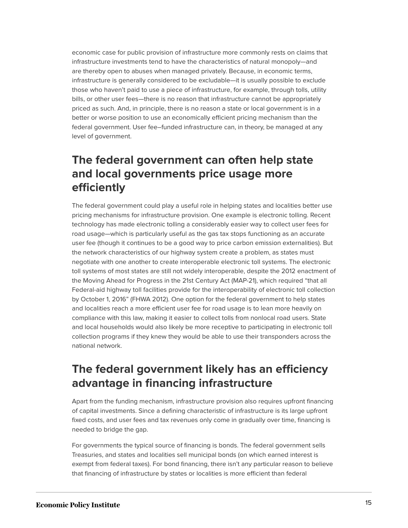economic case for public provision of infrastructure more commonly rests on claims that infrastructure investments tend to have the characteristics of natural monopoly—and are thereby open to abuses when managed privately. Because, in economic terms, infrastructure is generally considered to be excludable—it is usually possible to exclude those who haven't paid to use a piece of infrastructure, for example, through tolls, utility bills, or other user fees—there is no reason that infrastructure cannot be appropriately priced as such. And, in principle, there is no reason a state or local government is in a better or worse position to use an economically efficient pricing mechanism than the federal government. User fee–funded infrastructure can, in theory, be managed at any level of government.

### **The federal government can often help state and local governments price usage more efficiently**

The federal government could play a useful role in helping states and localities better use pricing mechanisms for infrastructure provision. One example is electronic tolling. Recent technology has made electronic tolling a considerably easier way to collect user fees for road usage—which is particularly useful as the gas tax stops functioning as an accurate user fee (though it continues to be a good way to price carbon emission externalities). But the network characteristics of our highway system create a problem, as states must negotiate with one another to create interoperable electronic toll systems. The electronic toll systems of most states are still not widely interoperable, despite the 2012 enactment of the Moving Ahead for Progress in the 21st Century Act (MAP-21), which required "that all Federal-aid highway toll facilities provide for the interoperability of electronic toll collection by October 1, 2016" (FHWA 2012). One option for the federal government to help states and localities reach a more efficient user fee for road usage is to lean more heavily on compliance with this law, making it easier to collect tolls from nonlocal road users. State and local households would also likely be more receptive to participating in electronic toll collection programs if they knew they would be able to use their transponders across the national network.

### **The federal government likely has an efficiency advantage in financing infrastructure**

Apart from the funding mechanism, infrastructure provision also requires upfront financing of capital investments. Since a defining characteristic of infrastructure is its large upfront fixed costs, and user fees and tax revenues only come in gradually over time, financing is needed to bridge the gap.

For governments the typical source of financing is bonds. The federal government sells Treasuries, and states and localities sell municipal bonds (on which earned interest is exempt from federal taxes). For bond financing, there isn't any particular reason to believe that financing of infrastructure by states or localities is more efficient than federal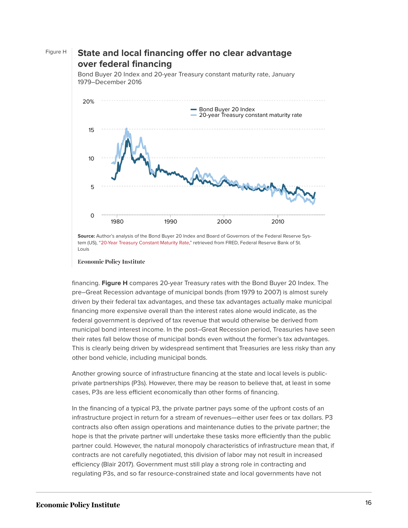#### Figure H **State and local financing offer no clear advantage over federal financing**

Bond Buyer 20 Index 20-year Treasury constant maturity rate 1980 1990 2000 2010  $\Omega$ 5 10 15 20%

Bond Buyer 20 Index and 20-year Treasury constant maturity rate, January 1979–December 2016

**Economic Policy Institute** 

financing. **Figure H** compares 20-year Treasury rates with the Bond Buyer 20 Index. The pre–Great Recession advantage of municipal bonds (from 1979 to 2007) is almost surely driven by their federal tax advantages, and these tax advantages actually make municipal financing more expensive overall than the interest rates alone would indicate, as the federal government is deprived of tax revenue that would otherwise be derived from municipal bond interest income. In the post–Great Recession period, Treasuries have seen their rates fall below those of municipal bonds even without the former's tax advantages. This is clearly being driven by widespread sentiment that Treasuries are less risky than any other bond vehicle, including municipal bonds.

Another growing source of infrastructure financing at the state and local levels is publicprivate partnerships (P3s). However, there may be reason to believe that, at least in some cases, P3s are less efficient economically than other forms of financing.

In the financing of a typical P3, the private partner pays some of the upfront costs of an infrastructure project in return for a stream of revenues—either user fees or tax dollars. P3 contracts also often assign operations and maintenance duties to the private partner; the hope is that the private partner will undertake these tasks more efficiently than the public partner could. However, the natural monopoly characteristics of infrastructure mean that, if contracts are not carefully negotiated, this division of labor may not result in increased efficiency (Blair 2017). Government must still play a strong role in contracting and regulating P3s, and so far resource-constrained state and local governments have not

**Source:** Author's analysis of the Bond Buyer 20 Index and Board of Governors of the Federal Reserve System (US), ["20-Year Treasury Constant Maturity Rate,](https://fred.stlouisfed.org/series/GS20)" retrieved from FRED, Federal Reserve Bank of St. Louis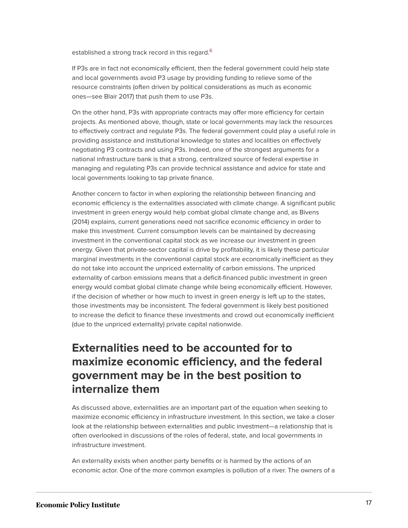<span id="page-17-0"></span>established a strong track record in this regard.<sup>[6](#page-25-7)</sup>

If P3s are in fact not economically efficient, then the federal government could help state and local governments avoid P3 usage by providing funding to relieve some of the resource constraints (often driven by political considerations as much as economic ones—see Blair 2017) that push them to use P3s.

On the other hand, P3s with appropriate contracts may offer more efficiency for certain projects. As mentioned above, though, state or local governments may lack the resources to effectively contract and regulate P3s. The federal government could play a useful role in providing assistance and institutional knowledge to states and localities on effectively negotiating P3 contracts and using P3s. Indeed, one of the strongest arguments for a national infrastructure bank is that a strong, centralized source of federal expertise in managing and regulating P3s can provide technical assistance and advice for state and local governments looking to tap private finance.

Another concern to factor in when exploring the relationship between financing and economic efficiency is the externalities associated with climate change. A significant public investment in green energy would help combat global climate change and, as Bivens (2014) explains, current generations need not sacrifice economic efficiency in order to make this investment. Current consumption levels can be maintained by decreasing investment in the conventional capital stock as we increase our investment in green energy. Given that private-sector capital is drive by profitability, it is likely these particular marginal investments in the conventional capital stock are economically inefficient as they do not take into account the unpriced externality of carbon emissions. The unpriced externality of carbon emissions means that a deficit-financed public investment in green energy would combat global climate change while being economically efficient. However, if the decision of whether or how much to invest in green energy is left up to the states, those investments may be inconsistent. The federal government is likely best positioned to increase the deficit to finance these investments and crowd out economically inefficient (due to the unpriced externality) private capital nationwide.

### **Externalities need to be accounted for to maximize economic efficiency, and the federal government may be in the best position to internalize them**

As discussed above, externalities are an important part of the equation when seeking to maximize economic efficiency in infrastructure investment. In this section, we take a closer look at the relationship between externalities and public investment—a relationship that is often overlooked in discussions of the roles of federal, state, and local governments in infrastructure investment.

An externality exists when another party benefits or is harmed by the actions of an economic actor. One of the more common examples is pollution of a river. The owners of a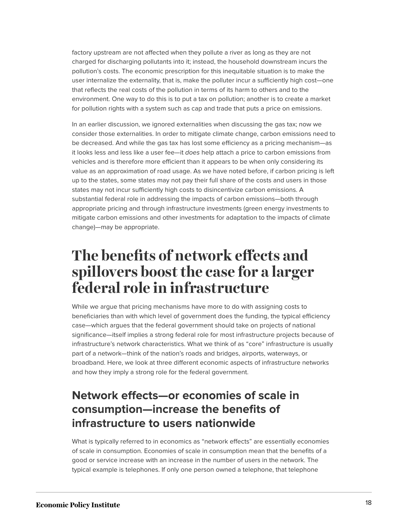factory upstream are not affected when they pollute a river as long as they are not charged for discharging pollutants into it; instead, the household downstream incurs the pollution's costs. The economic prescription for this inequitable situation is to make the user internalize the externality, that is, make the polluter incur a sufficiently high cost—one that reflects the real costs of the pollution in terms of its harm to others and to the environment. One way to do this is to put a tax on pollution; another is to create a market for pollution rights with a system such as cap and trade that puts a price on emissions.

In an earlier discussion, we ignored externalities when discussing the gas tax; now we consider those externalities. In order to mitigate climate change, carbon emissions need to be decreased. And while the gas tax has lost some efficiency as a pricing mechanism—as it looks less and less like a user fee—it does help attach a price to carbon emissions from vehicles and is therefore more efficient than it appears to be when only considering its value as an approximation of road usage. As we have noted before, if carbon pricing is left up to the states, some states may not pay their full share of the costs and users in those states may not incur sufficiently high costs to disincentivize carbon emissions. A substantial federal role in addressing the impacts of carbon emissions—both through appropriate pricing and through infrastructure investments (green energy investments to mitigate carbon emissions and other investments for adaptation to the impacts of climate change)—may be appropriate.

## <span id="page-18-0"></span>**The benefits of network effects and spillovers boost the case for a larger federal role in infrastructure**

While we argue that pricing mechanisms have more to do with assigning costs to beneficiaries than with which level of government does the funding, the typical efficiency case—which argues that the federal government should take on projects of national significance—itself implies a strong federal role for most infrastructure projects because of infrastructure's network characteristics. What we think of as "core" infrastructure is usually part of a network—think of the nation's roads and bridges, airports, waterways, or broadband. Here, we look at three different economic aspects of infrastructure networks and how they imply a strong role for the federal government.

### **Network effects—or economies of scale in consumption—increase the benefits of infrastructure to users nationwide**

What is typically referred to in economics as "network effects" are essentially economies of scale in consumption. Economies of scale in consumption mean that the benefits of a good or service increase with an increase in the number of users in the network. The typical example is telephones. If only one person owned a telephone, that telephone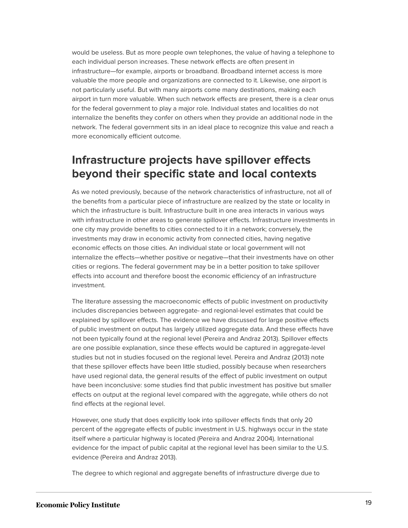would be useless. But as more people own telephones, the value of having a telephone to each individual person increases. These network effects are often present in infrastructure—for example, airports or broadband. Broadband internet access is more valuable the more people and organizations are connected to it. Likewise, one airport is not particularly useful. But with many airports come many destinations, making each airport in turn more valuable. When such network effects are present, there is a clear onus for the federal government to play a major role. Individual states and localities do not internalize the benefits they confer on others when they provide an additional node in the network. The federal government sits in an ideal place to recognize this value and reach a more economically efficient outcome.

### **Infrastructure projects have spillover effects beyond their specific state and local contexts**

As we noted previously, because of the network characteristics of infrastructure, not all of the benefits from a particular piece of infrastructure are realized by the state or locality in which the infrastructure is built. Infrastructure built in one area interacts in various ways with infrastructure in other areas to generate spillover effects. Infrastructure investments in one city may provide benefits to cities connected to it in a network; conversely, the investments may draw in economic activity from connected cities, having negative economic effects on those cities. An individual state or local government will not internalize the effects—whether positive or negative—that their investments have on other cities or regions. The federal government may be in a better position to take spillover effects into account and therefore boost the economic efficiency of an infrastructure investment.

The literature assessing the macroeconomic effects of public investment on productivity includes discrepancies between aggregate- and regional-level estimates that could be explained by spillover effects. The evidence we have discussed for large positive effects of public investment on output has largely utilized aggregate data. And these effects have not been typically found at the regional level (Pereira and Andraz 2013). Spillover effects are one possible explanation, since these effects would be captured in aggregate-level studies but not in studies focused on the regional level. Pereira and Andraz (2013) note that these spillover effects have been little studied, possibly because when researchers have used regional data, the general results of the effect of public investment on output have been inconclusive: some studies find that public investment has positive but smaller effects on output at the regional level compared with the aggregate, while others do not find effects at the regional level.

However, one study that does explicitly look into spillover effects finds that only 20 percent of the aggregate effects of public investment in U.S. highways occur in the state itself where a particular highway is located (Pereira and Andraz 2004). International evidence for the impact of public capital at the regional level has been similar to the U.S. evidence (Pereira and Andraz 2013).

The degree to which regional and aggregate benefits of infrastructure diverge due to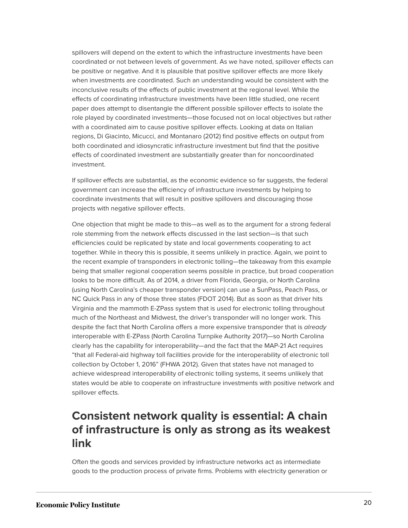spillovers will depend on the extent to which the infrastructure investments have been coordinated or not between levels of government. As we have noted, spillover effects can be positive or negative. And it is plausible that positive spillover effects are more likely when investments are coordinated. Such an understanding would be consistent with the inconclusive results of the effects of public investment at the regional level. While the effects of coordinating infrastructure investments have been little studied, one recent paper does attempt to disentangle the different possible spillover effects to isolate the role played by coordinated investments—those focused not on local objectives but rather with a coordinated aim to cause positive spillover effects. Looking at data on Italian regions, Di Giacinto, Micucci, and Montanaro (2012) find positive effects on output from both coordinated and idiosyncratic infrastructure investment but find that the positive effects of coordinated investment are substantially greater than for noncoordinated investment.

If spillover effects are substantial, as the economic evidence so far suggests, the federal government can increase the efficiency of infrastructure investments by helping to coordinate investments that will result in positive spillovers and discouraging those projects with negative spillover effects.

One objection that might be made to this—as well as to the argument for a strong federal role stemming from the network effects discussed in the last section—is that such efficiencies could be replicated by state and local governments cooperating to act together. While in theory this is possible, it seems unlikely in practice. Again, we point to the recent example of transponders in electronic tolling—the takeaway from this example being that smaller regional cooperation seems possible in practice, but broad cooperation looks to be more difficult. As of 2014, a driver from Florida, Georgia, or North Carolina (using North Carolina's cheaper transponder version) can use a SunPass, Peach Pass, or NC Quick Pass in any of those three states (FDOT 2014). But as soon as that driver hits Virginia and the mammoth E-ZPass system that is used for electronic tolling throughout much of the Northeast and Midwest, the driver's transponder will no longer work. This despite the fact that North Carolina offers a more expensive transponder that is already interoperable with E-ZPass (North Carolina Turnpike Authority 2017)—so North Carolina clearly has the capability for interoperability—and the fact that the MAP-21 Act requires "that all Federal-aid highway toll facilities provide for the interoperability of electronic toll collection by October 1, 2016" (FHWA 2012). Given that states have not managed to achieve widespread interoperability of electronic tolling systems, it seems unlikely that states would be able to cooperate on infrastructure investments with positive network and spillover effects.

### **Consistent network quality is essential: A chain of infrastructure is only as strong as its weakest link**

Often the goods and services provided by infrastructure networks act as intermediate goods to the production process of private firms. Problems with electricity generation or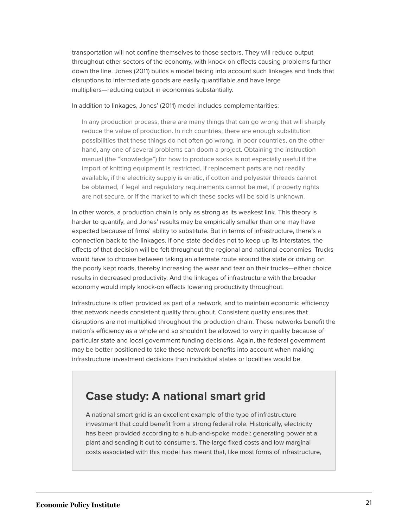transportation will not confine themselves to those sectors. They will reduce output throughout other sectors of the economy, with knock-on effects causing problems further down the line. Jones (2011) builds a model taking into account such linkages and finds that disruptions to intermediate goods are easily quantifiable and have large multipliers—reducing output in economies substantially.

In addition to linkages, Jones' (2011) model includes complementarities:

In any production process, there are many things that can go wrong that will sharply reduce the value of production. In rich countries, there are enough substitution possibilities that these things do not often go wrong. In poor countries, on the other hand, any one of several problems can doom a project. Obtaining the instruction manual (the "knowledge") for how to produce socks is not especially useful if the import of knitting equipment is restricted, if replacement parts are not readily available, if the electricity supply is erratic, if cotton and polyester threads cannot be obtained, if legal and regulatory requirements cannot be met, if property rights are not secure, or if the market to which these socks will be sold is unknown.

In other words, a production chain is only as strong as its weakest link. This theory is harder to quantify, and Jones' results may be empirically smaller than one may have expected because of firms' ability to substitute. But in terms of infrastructure, there's a connection back to the linkages. If one state decides not to keep up its interstates, the effects of that decision will be felt throughout the regional and national economies. Trucks would have to choose between taking an alternate route around the state or driving on the poorly kept roads, thereby increasing the wear and tear on their trucks—either choice results in decreased productivity. And the linkages of infrastructure with the broader economy would imply knock-on effects lowering productivity throughout.

Infrastructure is often provided as part of a network, and to maintain economic efficiency that network needs consistent quality throughout. Consistent quality ensures that disruptions are not multiplied throughout the production chain. These networks benefit the nation's efficiency as a whole and so shouldn't be allowed to vary in quality because of particular state and local government funding decisions. Again, the federal government may be better positioned to take these network benefits into account when making infrastructure investment decisions than individual states or localities would be.

#### **Case study: A national smart grid**

A national smart grid is an excellent example of the type of infrastructure investment that could benefit from a strong federal role. Historically, electricity has been provided according to a hub-and-spoke model: generating power at a plant and sending it out to consumers. The large fixed costs and low marginal costs associated with this model has meant that, like most forms of infrastructure,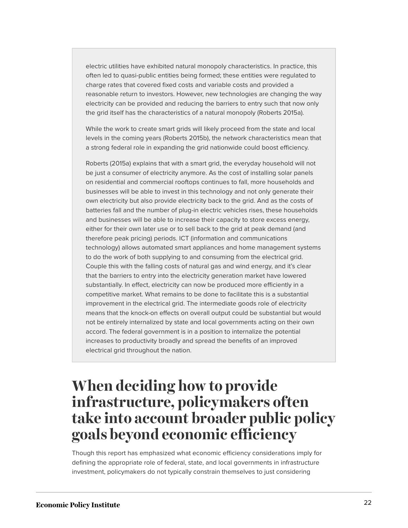electric utilities have exhibited natural monopoly characteristics. In practice, this often led to quasi-public entities being formed; these entities were regulated to charge rates that covered fixed costs and variable costs and provided a reasonable return to investors. However, new technologies are changing the way electricity can be provided and reducing the barriers to entry such that now only the grid itself has the characteristics of a natural monopoly (Roberts 2015a).

While the work to create smart grids will likely proceed from the state and local levels in the coming years (Roberts 2015b), the network characteristics mean that a strong federal role in expanding the grid nationwide could boost efficiency.

Roberts (2015a) explains that with a smart grid, the everyday household will not be just a consumer of electricity anymore. As the cost of installing solar panels on residential and commercial rooftops continues to fall, more households and businesses will be able to invest in this technology and not only generate their own electricity but also provide electricity back to the grid. And as the costs of batteries fall and the number of plug-in electric vehicles rises, these households and businesses will be able to increase their capacity to store excess energy, either for their own later use or to sell back to the grid at peak demand (and therefore peak pricing) periods. ICT (information and communications technology) allows automated smart appliances and home management systems to do the work of both supplying to and consuming from the electrical grid. Couple this with the falling costs of natural gas and wind energy, and it's clear that the barriers to entry into the electricity generation market have lowered substantially. In effect, electricity can now be produced more efficiently in a competitive market. What remains to be done to facilitate this is a substantial improvement in the electrical grid. The intermediate goods role of electricity means that the knock-on effects on overall output could be substantial but would not be entirely internalized by state and local governments acting on their own accord. The federal government is in a position to internalize the potential increases to productivity broadly and spread the benefits of an improved electrical grid throughout the nation.

## <span id="page-22-0"></span>**When deciding how to provide infrastructure, policymakers often take into account broader public policy goals beyond economic efficiency**

Though this report has emphasized what economic efficiency considerations imply for defining the appropriate role of federal, state, and local governments in infrastructure investment, policymakers do not typically constrain themselves to just considering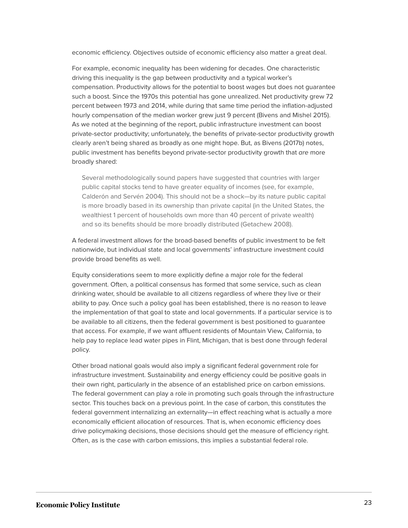economic efficiency. Objectives outside of economic efficiency also matter a great deal.

For example, economic inequality has been widening for decades. One characteristic driving this inequality is the gap between productivity and a typical worker's compensation. Productivity allows for the potential to boost wages but does not guarantee such a boost. Since the 1970s this potential has gone unrealized. Net productivity grew 72 percent between 1973 and 2014, while during that same time period the inflation-adjusted hourly compensation of the median worker grew just 9 percent (Bivens and Mishel 2015). As we noted at the beginning of the report, public infrastructure investment can boost private-sector productivity; unfortunately, the benefits of private-sector productivity growth clearly aren't being shared as broadly as one might hope. But, as Bivens (2017b) notes, public investment has benefits beyond private-sector productivity growth that are more broadly shared:

Several methodologically sound papers have suggested that countries with larger public capital stocks tend to have greater equality of incomes (see, for example, Calderón and Servén 2004). This should not be a shock—by its nature public capital is more broadly based in its ownership than private capital (in the United States, the wealthiest 1 percent of households own more than 40 percent of private wealth) and so its benefits should be more broadly distributed (Getachew 2008).

A federal investment allows for the broad-based benefits of public investment to be felt nationwide, but individual state and local governments' infrastructure investment could provide broad benefits as well.

Equity considerations seem to more explicitly define a major role for the federal government. Often, a political consensus has formed that some service, such as clean drinking water, should be available to all citizens regardless of where they live or their ability to pay. Once such a policy goal has been established, there is no reason to leave the implementation of that goal to state and local governments. If a particular service is to be available to all citizens, then the federal government is best positioned to guarantee that access. For example, if we want affluent residents of Mountain View, California, to help pay to replace lead water pipes in Flint, Michigan, that is best done through federal policy.

Other broad national goals would also imply a significant federal government role for infrastructure investment. Sustainability and energy efficiency could be positive goals in their own right, particularly in the absence of an established price on carbon emissions. The federal government can play a role in promoting such goals through the infrastructure sector. This touches back on a previous point. In the case of carbon, this constitutes the federal government internalizing an externality—in effect reaching what is actually a more economically efficient allocation of resources. That is, when economic efficiency does drive policymaking decisions, those decisions should get the measure of efficiency right. Often, as is the case with carbon emissions, this implies a substantial federal role.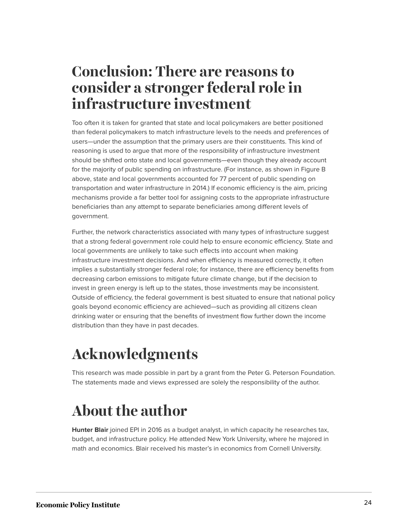## <span id="page-24-0"></span>**Conclusion: There are reasons to consider a stronger federal role in infrastructure investment**

Too often it is taken for granted that state and local policymakers are better positioned than federal policymakers to match infrastructure levels to the needs and preferences of users—under the assumption that the primary users are their constituents. This kind of reasoning is used to argue that more of the responsibility of infrastructure investment should be shifted onto state and local governments—even though they already account for the majority of public spending on infrastructure. (For instance, as shown in Figure B above, state and local governments accounted for 77 percent of public spending on transportation and water infrastructure in 2014.) If economic efficiency is the aim, pricing mechanisms provide a far better tool for assigning costs to the appropriate infrastructure beneficiaries than any attempt to separate beneficiaries among different levels of government.

Further, the network characteristics associated with many types of infrastructure suggest that a strong federal government role could help to ensure economic efficiency. State and local governments are unlikely to take such effects into account when making infrastructure investment decisions. And when efficiency is measured correctly, it often implies a substantially stronger federal role; for instance, there are efficiency benefits from decreasing carbon emissions to mitigate future climate change, but if the decision to invest in green energy is left up to the states, those investments may be inconsistent. Outside of efficiency, the federal government is best situated to ensure that national policy goals beyond economic efficiency are achieved—such as providing all citizens clean drinking water or ensuring that the benefits of investment flow further down the income distribution than they have in past decades.

## <span id="page-24-1"></span>**Acknowledgments**

This research was made possible in part by a grant from the Peter G. Peterson Foundation. The statements made and views expressed are solely the responsibility of the author.

## <span id="page-24-2"></span>**About the author**

**Hunter Blair** joined EPI in 2016 as a budget analyst, in which capacity he researches tax, budget, and infrastructure policy. He attended New York University, where he majored in math and economics. Blair received his master's in economics from Cornell University.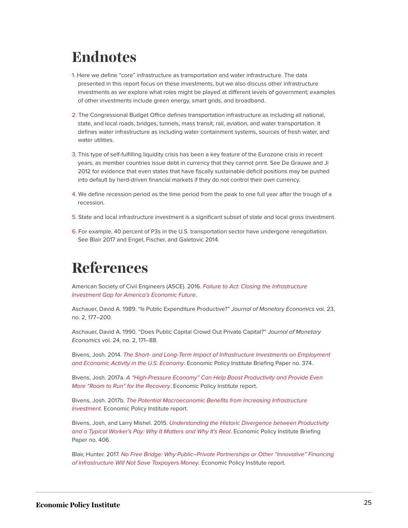## <span id="page-25-0"></span>**Endnotes**

- <span id="page-25-2"></span>[1.](#page-4-1) Here we define "core" infrastructure as transportation and water infrastructure. The data presented in this report focus on these investments, but we also discuss other infrastructure investments as we explore what roles might be played at different levels of government; examples of other investments include green energy, smart grids, and broadband.
- <span id="page-25-3"></span>[2.](#page-5-0) The Congressional Budget Office defines transportation infrastructure as including all national, state, and local roads, bridges, tunnels, mass transit, rail, aviation, and water transportation. It defines water infrastructure as including water containment systems, sources of fresh water, and water utilities.
- <span id="page-25-4"></span>[3.](#page-7-0) This type of self-fulfilling liquidity crisis has been a key feature of the Eurozone crisis in recent years, as member countries issue debt in currency that they cannot print. See De Grauwe and Ji 2012 for evidence that even states that have fiscally sustainable deficit positions may be pushed into default by herd-driven financial markets if they do not control their own currency.
- <span id="page-25-5"></span>[4.](#page-8-0) We define recession period as the time period from the peak to one full year after the trough of a recession.
- <span id="page-25-6"></span>[5.](#page-8-1) State and local infrastructure investment is a significant subset of state and local gross investment.
- <span id="page-25-7"></span>[6.](#page-17-0) For example, 40 percent of P3s in the U.S. transportation sector have undergone renegotiation. See Blair 2017 and Engel, Fischer, and Galetovic 2014.

## <span id="page-25-1"></span>**References**

American Society of Civil Engineers (ASCE). 2016. [Failure to Act: Closing the Infrastructure](http://www.infrastructurereportcard.org/wp-content/uploads/2016/10/ASCE-Failure-to-Act-2016-FINAL.pdf) [Investment Gap for America's Economic Future](http://www.infrastructurereportcard.org/wp-content/uploads/2016/10/ASCE-Failure-to-Act-2016-FINAL.pdf).

Aschauer, David A. 1989. "Is Public Expenditure Productive?" Journal of Monetary Economics vol. 23, no. 2, 177–200.

Aschauer, David A. 1990. "Does Public Capital Crowd Out Private Capital?" Journal of Monetary Economics vol. 24, no. 2, 171–88.

Bivens, Josh. 2014. [The Short- and Long-Term Impact of Infrastructure Investments on Employment](http://www.epi.org/publication/impact-of-infrastructure-investments/) [and Economic Activity in the U.S. Economy](http://www.epi.org/publication/impact-of-infrastructure-investments/). Economic Policy Institute Briefing Paper no. 374.

Bivens, Josh. 2017a. [A "High-Pressure Economy" Can Help Boost Productivity and Provide Even](http://www.epi.org/publication/a-high-pressure-economy-can-help-boost-productivity-and-provide-even-more-room-to-run-for-the-recovery/) [More "Room to Run" for the Recovery](http://www.epi.org/publication/a-high-pressure-economy-can-help-boost-productivity-and-provide-even-more-room-to-run-for-the-recovery/). Economic Policy Institute report.

Bivens, Josh. 2017b. [The Potential Macroeconomic Benefits from Increasing Infrastructure](http://www.epi.org/publication/the-potential-macroeconomic-benefits-from-increasing-infrastructure-investment/) [Investment](http://www.epi.org/publication/the-potential-macroeconomic-benefits-from-increasing-infrastructure-investment/). Economic Policy Institute report.

Bivens, Josh, and Larry Mishel. 2015. [Understanding the Historic Divergence between Productivity](http://www.epi.org/publication/understanding-the-historic-divergence-between-productivity-and-a-typical-workers-pay-why-it-matters-and-why-its-real/) [and a Typical Worker's Pay: Why It Matters and Why It's Real](http://www.epi.org/publication/understanding-the-historic-divergence-between-productivity-and-a-typical-workers-pay-why-it-matters-and-why-its-real/). Economic Policy Institute Briefing Paper no. 406.

Blair, Hunter. 2017. [No Free Bridge: Why Public–Private Partnerships or Other "Innovative" Financing](http://www.epi.org/publication/no-free-bridge-why-public-private-partnerships-or-other-innovative-financing-of-infrastructure-will-not-save-taxpayers-money/) [of Infrastructure Will Not Save Taxpayers Money.](http://www.epi.org/publication/no-free-bridge-why-public-private-partnerships-or-other-innovative-financing-of-infrastructure-will-not-save-taxpayers-money/) Economic Policy Institute report.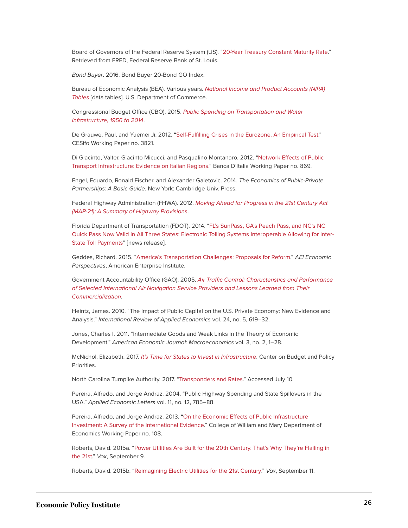Board of Governors of the Federal Reserve System (US). ["20-Year Treasury Constant Maturity Rate](https://fred.stlouisfed.org/series/GS20)." Retrieved from FRED, Federal Reserve Bank of St. Louis.

Bond Buyer. 2016. Bond Buyer 20-Bond GO Index.

Bureau of Economic Analysis (BEA). Various years. [National Income and Product Accounts \(NIPA\)](https://www.bea.gov/iTable/index_nipa.cfm) [Tables](https://www.bea.gov/iTable/index_nipa.cfm) [data tables]. U.S. Department of Commerce.

Congressional Budget Office (CBO). 2015. [Public Spending on Transportation and Water](https://www.cbo.gov/sites/default/files/114th-congress-2015-2016/reports/49910-infrastructure.pdf) [Infrastructure, 1956 to 2014](https://www.cbo.gov/sites/default/files/114th-congress-2015-2016/reports/49910-infrastructure.pdf).

De Grauwe, Paul, and Yuemei Ji. 2012. "[Self-Fulfilling Crises in the Eurozone. An Empirical Test.](http://www.cesifo-group.de/ifoHome/publications/working-papers/CESifoWP/CESifoWPdetails?wp_id=18361291)" CESifo Working Paper no. 3821.

Di Giacinto, Valter, Giacinto Micucci, and Pasqualino Montanaro. 2012. ["Network Effects of Public](https://www.bancaditalia.it/pubblicazioni/temi-discussione/2012/2012-0869/en_tema_869.pdf?language_id=1) [Transport Infrastructure: Evidence on Italian Regions.](https://www.bancaditalia.it/pubblicazioni/temi-discussione/2012/2012-0869/en_tema_869.pdf?language_id=1)" Banca D'Italia Working Paper no. 869.

Engel, Eduardo, Ronald Fischer, and Alexander Galetovic. 2014. The Economics of Public-Private Partnerships: A Basic Guide. New York: Cambridge Univ. Press.

Federal Highway Administration (FHWA). 2012. [Moving Ahead for Progress in the 21st Century Act](https://www.fhwa.dot.gov/map21/docs/map21_summary_hgwy_provisions.pdf) [\(MAP-21\): A Summary of Highway Provisions](https://www.fhwa.dot.gov/map21/docs/map21_summary_hgwy_provisions.pdf).

Florida Department of Transportation (FDOT). 2014. ["FL's SunPass, GA's Peach Pass, and NC's NC](https://www.sunpass.com/pdf/FLGANCValid.pdf) [Quick Pass Now Valid in All Three States: Electronic Tolling Systems Interoperable Allowing for Inter-](https://www.sunpass.com/pdf/FLGANCValid.pdf)[State Toll Payments"](https://www.sunpass.com/pdf/FLGANCValid.pdf) [news release].

Geddes, Richard. 2015. "[America's Transportation Challenges: Proposals for Reform.](https://www.aei.org/wp-content/uploads/2015/09/Americas-Transportation-Challenges.pdf)" AEI Economic Perspectives, American Enterprise Institute.

Government Accountability Office (GAO). 2005. [Air Traffic Control: Characteristics and Performance](http://www.gao.gov/assets/250/247283.pdf) [of Selected International Air Navigation Service Providers and Lessons Learned from Their](http://www.gao.gov/assets/250/247283.pdf) [Commercialization](http://www.gao.gov/assets/250/247283.pdf).

Heintz, James. 2010. "The Impact of Public Capital on the U.S. Private Economy: New Evidence and Analysis." International Review of Applied Economics vol. 24, no. 5, 619–32.

Jones, Charles I. 2011. "Intermediate Goods and Weak Links in the Theory of Economic Development." American Economic Journal: Macroeconomics vol. 3, no. 2, 1–28.

McNichol, Elizabeth. 2017. [It's Time for States to Invest in Infrastructure](http://www.cbpp.org/research/state-budget-and-tax/its-time-for-states-to-invest-in-infrastructure). Center on Budget and Policy **Priorities** 

North Carolina Turnpike Authority. 2017. "[Transponders and Rates](https://www.myncquickpass.com/en/about/rates.shtml)." Accessed July 10.

Pereira, Alfredo, and Jorge Andraz. 2004. "Public Highway Spending and State Spillovers in the USA." Applied Economic Letters vol. 11, no. 12, 785–88.

Pereira, Alfredo, and Jorge Andraz. 2013. ["On the Economic Effects of Public Infrastructure](http://economics.wm.edu/wp/cwm_wp108rev1.pdf) [Investment: A Survey of the International Evidence](http://economics.wm.edu/wp/cwm_wp108rev1.pdf)." College of William and Mary Department of Economics Working Paper no. 108.

Roberts, David. 2015a. "[Power Utilities Are Built for the 20th Century. That's Why They're Flailing in](https://www.vox.com/2015/9/9/9287719/utilities-monopoly) [the 21st](https://www.vox.com/2015/9/9/9287719/utilities-monopoly)." Vox, September 9.

Roberts, David. 2015b. ["Reimagining Electric Utilities for the 21st Century](https://www.vox.com/2015/9/11/9306247/utilities-21st-century)." Vox, September 11.